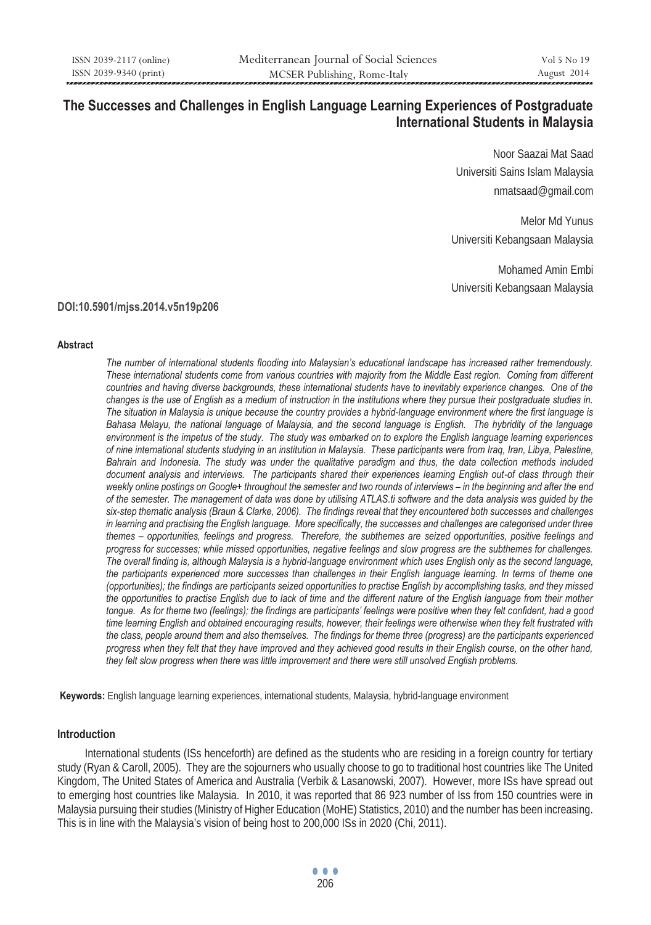# **The Successes and Challenges in English Language Learning Experiences of Postgraduate International Students in Malaysia**

Noor Saazai Mat Saad Universiti Sains Islam Malaysia nmatsaad@gmail.com

Melor Md Yunus Universiti Kebangsaan Malaysia

Mohamed Amin Embi Universiti Kebangsaan Malaysia

## **DOI:10.5901/mjss.2014.v5n19p206**

### **Abstract**

*The number of international students flooding into Malaysian's educational landscape has increased rather tremendously. These international students come from various countries with majority from the Middle East region. Coming from different countries and having diverse backgrounds, these international students have to inevitably experience changes. One of the changes is the use of English as a medium of instruction in the institutions where they pursue their postgraduate studies in. The situation in Malaysia is unique because the country provides a hybrid-language environment where the first language is Bahasa Melayu, the national language of Malaysia, and the second language is English. The hybridity of the language environment is the impetus of the study. The study was embarked on to explore the English language learning experiences of nine international students studying in an institution in Malaysia. These participants were from Iraq, Iran, Libya, Palestine, Bahrain and Indonesia. The study was under the qualitative paradigm and thus, the data collection methods included*  document analysis and interviews. The participants shared their experiences learning English out-of class through their *weekly online postings on Google+ throughout the semester and two rounds of interviews – in the beginning and after the end of the semester. The management of data was done by utilising ATLAS.ti software and the data analysis was guided by the six-step thematic analysis (Braun & Clarke, 2006). The findings reveal that they encountered both successes and challenges in learning and practising the English language. More specifically, the successes and challenges are categorised under three themes – opportunities, feelings and progress. Therefore, the subthemes are seized opportunities, positive feelings and progress for successes; while missed opportunities, negative feelings and slow progress are the subthemes for challenges. The overall finding is, although Malaysia is a hybrid-language environment which uses English only as the second language, the participants experienced more successes than challenges in their English language learning. In terms of theme one (opportunities); the findings are participants seized opportunities to practise English by accomplishing tasks, and they missed the opportunities to practise English due to lack of time and the different nature of the English language from their mother tongue. As for theme two (feelings); the findings are participants' feelings were positive when they felt confident, had a good time learning English and obtained encouraging results, however, their feelings were otherwise when they felt frustrated with the class, people around them and also themselves. The findings for theme three (progress) are the participants experienced progress when they felt that they have improved and they achieved good results in their English course, on the other hand, they felt slow progress when there was little improvement and there were still unsolved English problems.* 

**Keywords:** English language learning experiences, international students, Malaysia, hybrid-language environment

### **Introduction**

 International students (ISs henceforth) are defined as the students who are residing in a foreign country for tertiary study (Ryan & Caroll, 2005). They are the sojourners who usually choose to go to traditional host countries like The United Kingdom, The United States of America and Australia (Verbik & Lasanowski, 2007). However, more ISs have spread out to emerging host countries like Malaysia. In 2010, it was reported that 86 923 number of Iss from 150 countries were in Malaysia pursuing their studies (Ministry of Higher Education (MoHE) Statistics, 2010) and the number has been increasing. This is in line with the Malaysia's vision of being host to 200,000 ISs in 2020 (Chi, 2011).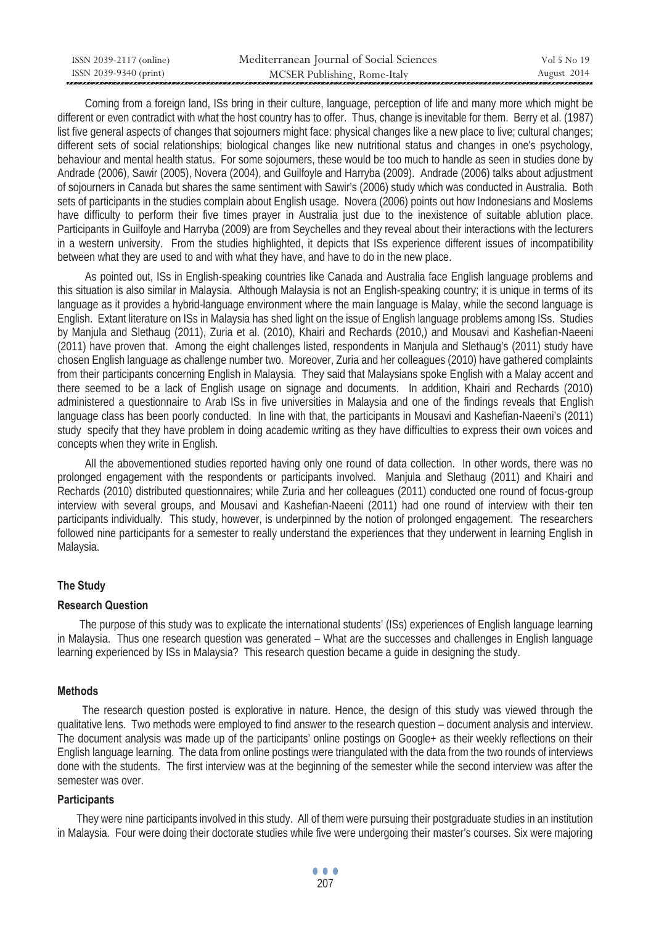| ISSN 2039-2117 (online) | Mediterranean Journal of Social Sciences | Vol 5 No 19 |
|-------------------------|------------------------------------------|-------------|
| ISSN 2039-9340 (print)  | MCSER Publishing, Rome-Italy             | August 2014 |

 Coming from a foreign land, ISs bring in their culture, language, perception of life and many more which might be different or even contradict with what the host country has to offer. Thus, change is inevitable for them. Berry et al. (1987) list five general aspects of changes that sojourners might face: physical changes like a new place to live; cultural changes; different sets of social relationships; biological changes like new nutritional status and changes in one's psychology, behaviour and mental health status. For some sojourners, these would be too much to handle as seen in studies done by Andrade (2006), Sawir (2005), Novera (2004), and Guilfoyle and Harryba (2009). Andrade (2006) talks about adjustment of sojourners in Canada but shares the same sentiment with Sawir's (2006) study which was conducted in Australia. Both sets of participants in the studies complain about English usage. Novera (2006) points out how Indonesians and Moslems have difficulty to perform their five times prayer in Australia just due to the inexistence of suitable ablution place. Participants in Guilfoyle and Harryba (2009) are from Seychelles and they reveal about their interactions with the lecturers in a western university. From the studies highlighted, it depicts that ISs experience different issues of incompatibility between what they are used to and with what they have, and have to do in the new place.

 As pointed out, ISs in English-speaking countries like Canada and Australia face English language problems and this situation is also similar in Malaysia. Although Malaysia is not an English-speaking country; it is unique in terms of its language as it provides a hybrid-language environment where the main language is Malay, while the second language is English. Extant literature on ISs in Malaysia has shed light on the issue of English language problems among ISs. Studies by Manjula and Slethaug (2011), Zuria et al. (2010), Khairi and Rechards (2010,) and Mousavi and Kashefian-Naeeni (2011) have proven that. Among the eight challenges listed, respondents in Manjula and Slethaug's (2011) study have chosen English language as challenge number two. Moreover, Zuria and her colleagues (2010) have gathered complaints from their participants concerning English in Malaysia. They said that Malaysians spoke English with a Malay accent and there seemed to be a lack of English usage on signage and documents. In addition, Khairi and Rechards (2010) administered a questionnaire to Arab ISs in five universities in Malaysia and one of the findings reveals that English language class has been poorly conducted. In line with that, the participants in Mousavi and Kashefian-Naeeni's (2011) study specify that they have problem in doing academic writing as they have difficulties to express their own voices and concepts when they write in English.

 All the abovementioned studies reported having only one round of data collection. In other words, there was no prolonged engagement with the respondents or participants involved. Manjula and Slethaug (2011) and Khairi and Rechards (2010) distributed questionnaires; while Zuria and her colleagues (2011) conducted one round of focus-group interview with several groups, and Mousavi and Kashefian-Naeeni (2011) had one round of interview with their ten participants individually. This study, however, is underpinned by the notion of prolonged engagement. The researchers followed nine participants for a semester to really understand the experiences that they underwent in learning English in Malaysia.

### **The Study**

### **Research Question**

 The purpose of this study was to explicate the international students' (ISs) experiences of English language learning in Malaysia. Thus one research question was generated – What are the successes and challenges in English language learning experienced by ISs in Malaysia? This research question became a guide in designing the study.

### **Methods**

 The research question posted is explorative in nature. Hence, the design of this study was viewed through the qualitative lens. Two methods were employed to find answer to the research question – document analysis and interview. The document analysis was made up of the participants' online postings on Google+ as their weekly reflections on their English language learning. The data from online postings were triangulated with the data from the two rounds of interviews done with the students. The first interview was at the beginning of the semester while the second interview was after the semester was over.

## **Participants**

They were nine participants involved in this study. All of them were pursuing their postgraduate studies in an institution in Malaysia. Four were doing their doctorate studies while five were undergoing their master's courses. Six were majoring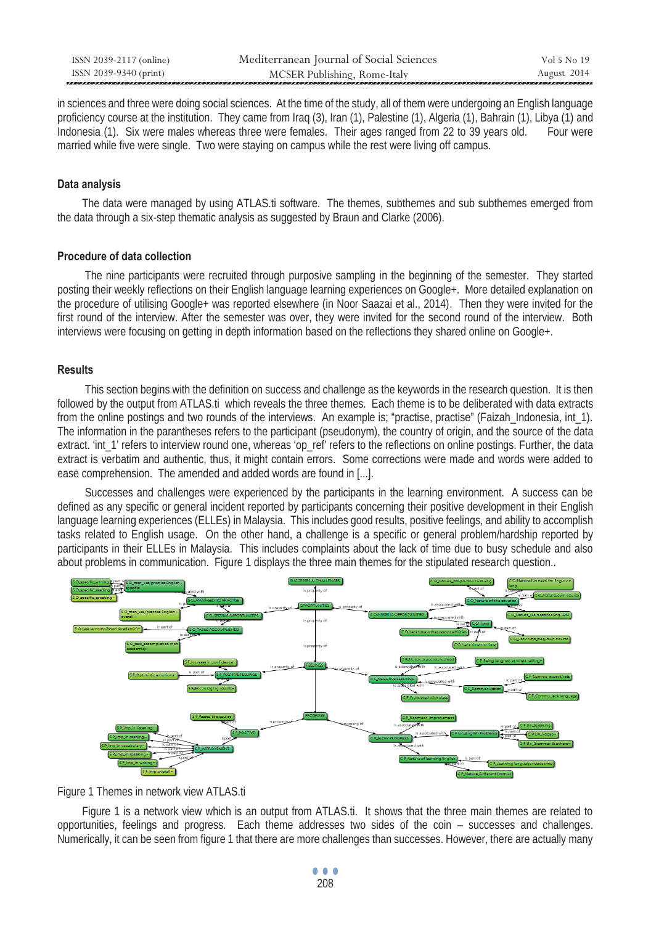| ISSN 2039-2117 (online) | Mediterranean Journal of Social Sciences | Vol 5 No 19 |
|-------------------------|------------------------------------------|-------------|
| ISSN 2039-9340 (print)  | MCSER Publishing, Rome-Italy             | August 2014 |

in sciences and three were doing social sciences. At the time of the study, all of them were undergoing an English language proficiency course at the institution. They came from Iraq (3), Iran (1), Palestine (1), Algeria (1), Bahrain (1), Libya (1) and Indonesia (1). Six were males whereas three were females. Their ages ranged from 22 to 39 years old. Four were married while five were single. Two were staying on campus while the rest were living off campus.

## **Data analysis**

The data were managed by using ATLAS.ti software. The themes, subthemes and sub subthemes emerged from the data through a six-step thematic analysis as suggested by Braun and Clarke (2006).

### **Procedure of data collection**

The nine participants were recruited through purposive sampling in the beginning of the semester. They started posting their weekly reflections on their English language learning experiences on Google+. More detailed explanation on the procedure of utilising Google+ was reported elsewhere (in Noor Saazai et al., 2014). Then they were invited for the first round of the interview. After the semester was over, they were invited for the second round of the interview. Both interviews were focusing on getting in depth information based on the reflections they shared online on Google+.

### **Results**

 This section begins with the definition on success and challenge as the keywords in the research question. It is then followed by the output from ATLAS.ti which reveals the three themes. Each theme is to be deliberated with data extracts from the online postings and two rounds of the interviews. An example is; "practise, practise" (Faizah Indonesia, int 1). The information in the parantheses refers to the participant (pseudonym), the country of origin, and the source of the data extract. 'int\_1' refers to interview round one, whereas 'op\_ref' refers to the reflections on online postings. Further, the data extract is verbatim and authentic, thus, it might contain errors. Some corrections were made and words were added to ease comprehension. The amended and added words are found in [...].

 Successes and challenges were experienced by the participants in the learning environment. A success can be defined as any specific or general incident reported by participants concerning their positive development in their English language learning experiences (ELLEs) in Malaysia. This includes good results, positive feelings, and ability to accomplish tasks related to English usage. On the other hand, a challenge is a specific or general problem/hardship reported by participants in their ELLEs in Malaysia. This includes complaints about the lack of time due to busy schedule and also about problems in communication. Figure 1 displays the three main themes for the stipulated research question..





 Figure 1 is a network view which is an output from ATLAS.ti. It shows that the three main themes are related to opportunities, feelings and progress. Each theme addresses two sides of the coin – successes and challenges. Numerically, it can be seen from figure 1 that there are more challenges than successes. However, there are actually many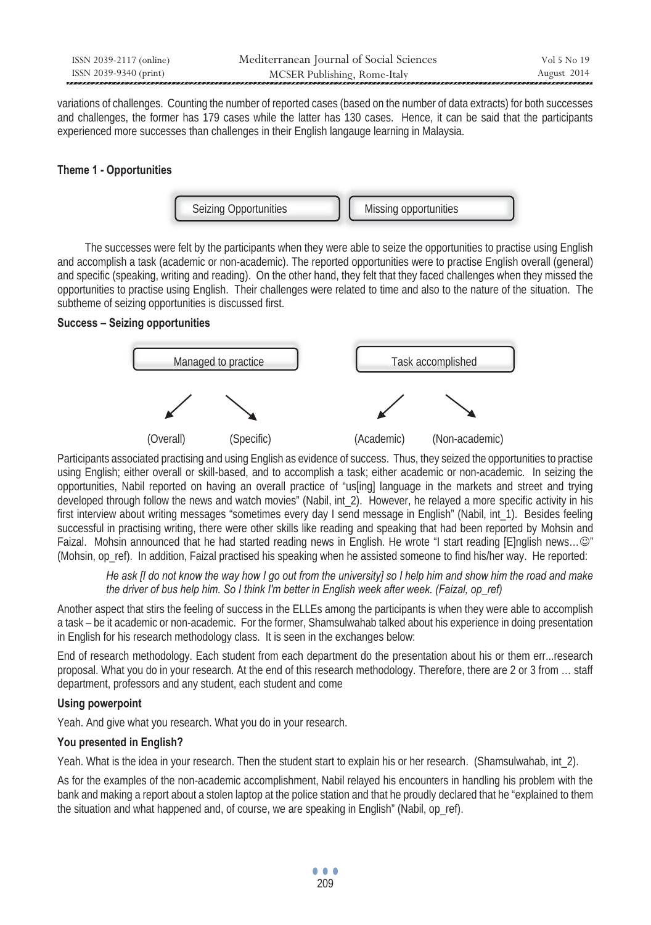| ISSN 2039-2117 (online) | Mediterranean Journal of Social Sciences | Vol 5 No 19 |
|-------------------------|------------------------------------------|-------------|
| ISSN 2039-9340 (print)  | MCSER Publishing, Rome-Italy             | August 2014 |

variations of challenges. Counting the number of reported cases (based on the number of data extracts) for both successes and challenges, the former has 179 cases while the latter has 130 cases. Hence, it can be said that the participants experienced more successes than challenges in their English langauge learning in Malaysia.

## **Theme 1 - Opportunities**



 The successes were felt by the participants when they were able to seize the opportunities to practise using English and accomplish a task (academic or non-academic). The reported opportunities were to practise English overall (general) and specific (speaking, writing and reading). On the other hand, they felt that they faced challenges when they missed the opportunities to practise using English. Their challenges were related to time and also to the nature of the situation. The subtheme of seizing opportunities is discussed first.

# **Success – Seizing opportunities**



Participants associated practising and using English as evidence of success. Thus, they seized the opportunities to practise using English; either overall or skill-based, and to accomplish a task; either academic or non-academic. In seizing the opportunities, Nabil reported on having an overall practice of "us[ing] language in the markets and street and trying developed through follow the news and watch movies" (Nabil, int\_2). However, he relayed a more specific activity in his first interview about writing messages "sometimes every day I send message in English" (Nabil, int\_1). Besides feeling successful in practising writing, there were other skills like reading and speaking that had been reported by Mohsin and Faizal. Mohsin announced that he had started reading news in English. He wrote "I start reading [E]nglish news...  $\odot$ " (Mohsin, op\_ref). In addition, Faizal practised his speaking when he assisted someone to find his/her way. He reported:

## *He ask [I do not know the way how I go out from the university] so I help him and show him the road and make the driver of bus help him. So I think I'm better in English week after week. (Faizal, op\_ref)*

Another aspect that stirs the feeling of success in the ELLEs among the participants is when they were able to accomplish a task – be it academic or non-academic. For the former, Shamsulwahab talked about his experience in doing presentation in English for his research methodology class. It is seen in the exchanges below:

End of research methodology. Each student from each department do the presentation about his or them err...research proposal. What you do in your research. At the end of this research methodology. Therefore, there are 2 or 3 from … staff department, professors and any student, each student and come

## **Using powerpoint**

Yeah. And give what you research. What you do in your research.

## **You presented in English?**

Yeah. What is the idea in your research. Then the student start to explain his or her research. (Shamsulwahab, int\_2).

As for the examples of the non-academic accomplishment, Nabil relayed his encounters in handling his problem with the bank and making a report about a stolen laptop at the police station and that he proudly declared that he "explained to them the situation and what happened and, of course, we are speaking in English" (Nabil, op\_ref).

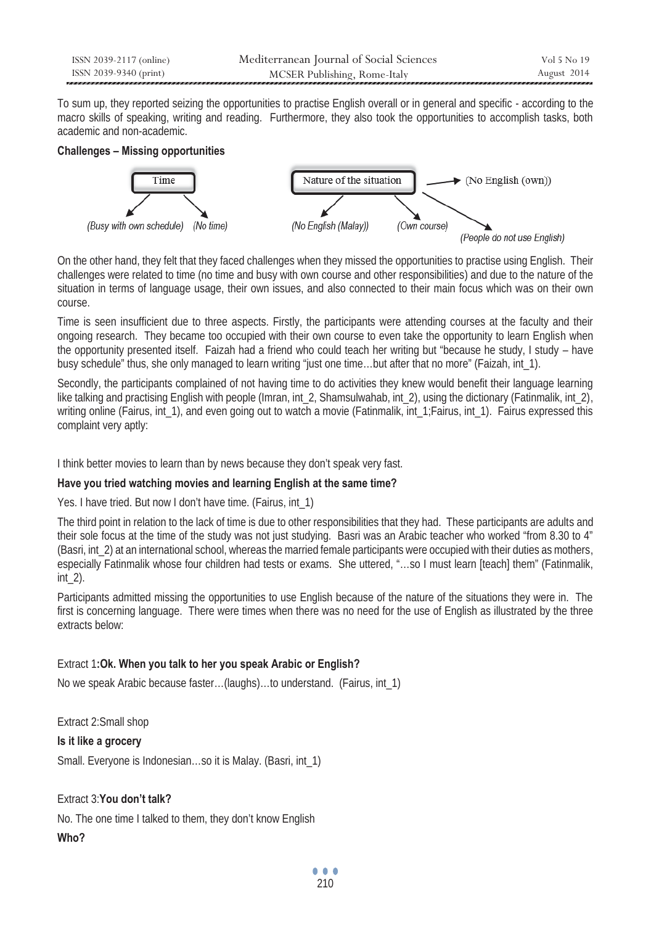| ISSN 2039-2117 (online) | Mediterranean Journal of Social Sciences | Vol 5 No 19 |
|-------------------------|------------------------------------------|-------------|
| ISSN 2039-9340 (print)  | MCSER Publishing, Rome-Italy             | August 2014 |

To sum up, they reported seizing the opportunities to practise English overall or in general and specific - according to the macro skills of speaking, writing and reading. Furthermore, they also took the opportunities to accomplish tasks, both academic and non-academic.

### **Challenges – Missing opportunities**



On the other hand, they felt that they faced challenges when they missed the opportunities to practise using English. Their challenges were related to time (no time and busy with own course and other responsibilities) and due to the nature of the situation in terms of language usage, their own issues, and also connected to their main focus which was on their own course.

Time is seen insufficient due to three aspects. Firstly, the participants were attending courses at the faculty and their ongoing research. They became too occupied with their own course to even take the opportunity to learn English when the opportunity presented itself. Faizah had a friend who could teach her writing but "because he study, I study – have busy schedule" thus, she only managed to learn writing "just one time…but after that no more" (Faizah, int\_1).

Secondly, the participants complained of not having time to do activities they knew would benefit their language learning like talking and practising English with people (Imran, int\_2, Shamsulwahab, int\_2), using the dictionary (Fatinmalik, int\_2), writing online (Fairus, int\_1), and even going out to watch a movie (Fatinmalik, int\_1;Fairus, int\_1). Fairus expressed this complaint very aptly:

I think better movies to learn than by news because they don't speak very fast.

## **Have you tried watching movies and learning English at the same time?**

Yes. I have tried. But now I don't have time. (Fairus, int\_1)

The third point in relation to the lack of time is due to other responsibilities that they had. These participants are adults and their sole focus at the time of the study was not just studying. Basri was an Arabic teacher who worked "from 8.30 to 4" (Basri, int\_2) at an international school, whereas the married female participants were occupied with their duties as mothers, especially Fatinmalik whose four children had tests or exams. She uttered, "…so I must learn [teach] them" (Fatinmalik, int\_2).

Participants admitted missing the opportunities to use English because of the nature of the situations they were in. The first is concerning language. There were times when there was no need for the use of English as illustrated by the three extracts below:

# Extract 1**:Ok. When you talk to her you speak Arabic or English?**

No we speak Arabic because faster…(laughs)…to understand. (Fairus, int\_1)

Extract 2:Small shop

# **Is it like a grocery**

Small. Everyone is Indonesian…so it is Malay. (Basri, int\_1)

# Extract 3:**You don't talk?**

No. The one time I talked to them, they don't know English

**Who?**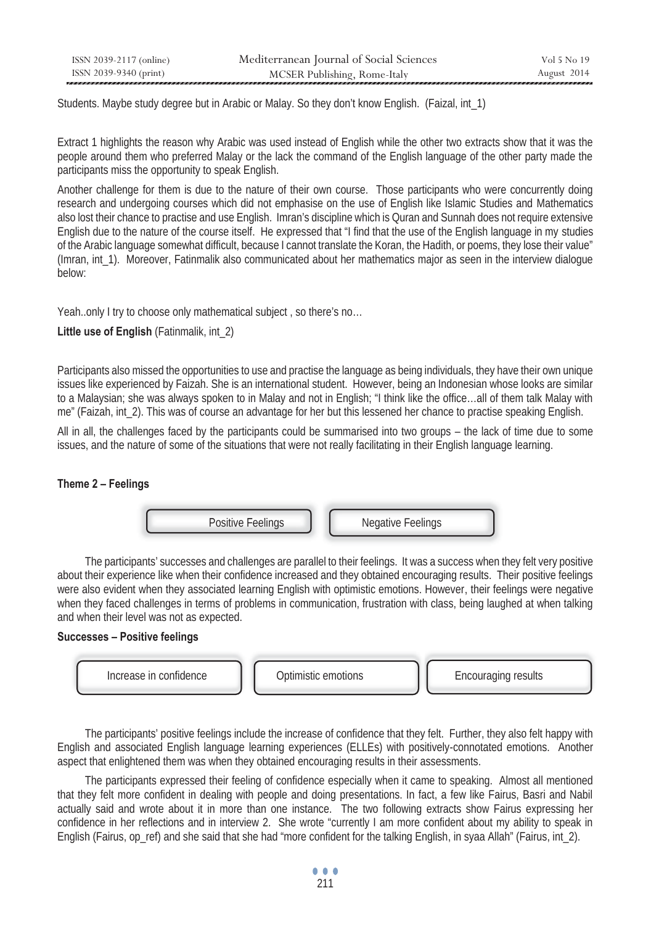| ISSN 2039-2117 (online) | Mediterranean Journal of Social Sciences | Vol 5 No 19 |
|-------------------------|------------------------------------------|-------------|
| ISSN 2039-9340 (print)  | MCSER Publishing, Rome-Italy             | August 2014 |

Students. Maybe study degree but in Arabic or Malay. So they don't know English. (Faizal, int\_1)

Extract 1 highlights the reason why Arabic was used instead of English while the other two extracts show that it was the people around them who preferred Malay or the lack the command of the English language of the other party made the participants miss the opportunity to speak English.

Another challenge for them is due to the nature of their own course. Those participants who were concurrently doing research and undergoing courses which did not emphasise on the use of English like Islamic Studies and Mathematics also lost their chance to practise and use English. Imran's discipline which is Quran and Sunnah does not require extensive English due to the nature of the course itself. He expressed that "I find that the use of the English language in my studies of the Arabic language somewhat difficult, because I cannot translate the Koran, the Hadith, or poems, they lose their value" (Imran, int\_1). Moreover, Fatinmalik also communicated about her mathematics major as seen in the interview dialogue below:

Yeah..only I try to choose only mathematical subject, so there's no...

# **Little use of English** (Fatinmalik, int\_2)

Participants also missed the opportunities to use and practise the language as being individuals, they have their own unique issues like experienced by Faizah. She is an international student. However, being an Indonesian whose looks are similar to a Malaysian; she was always spoken to in Malay and not in English; "I think like the office…all of them talk Malay with me" (Faizah, int\_2). This was of course an advantage for her but this lessened her chance to practise speaking English.

All in all, the challenges faced by the participants could be summarised into two groups – the lack of time due to some issues, and the nature of some of the situations that were not really facilitating in their English language learning.

## **Theme 2 – Feelings**



 The participants' successes and challenges are parallel to their feelings. It was a success when they felt very positive about their experience like when their confidence increased and they obtained encouraging results. Their positive feelings were also evident when they associated learning English with optimistic emotions. However, their feelings were negative when they faced challenges in terms of problems in communication, frustration with class, being laughed at when talking and when their level was not as expected.

## **Successes – Positive feelings**



 The participants' positive feelings include the increase of confidence that they felt. Further, they also felt happy with English and associated English language learning experiences (ELLEs) with positively-connotated emotions. Another aspect that enlightened them was when they obtained encouraging results in their assessments.

 The participants expressed their feeling of confidence especially when it came to speaking. Almost all mentioned that they felt more confident in dealing with people and doing presentations. In fact, a few like Fairus, Basri and Nabil actually said and wrote about it in more than one instance. The two following extracts show Fairus expressing her confidence in her reflections and in interview 2. She wrote "currently I am more confident about my ability to speak in English (Fairus, op\_ref) and she said that she had "more confident for the talking English, in syaa Allah" (Fairus, int\_2).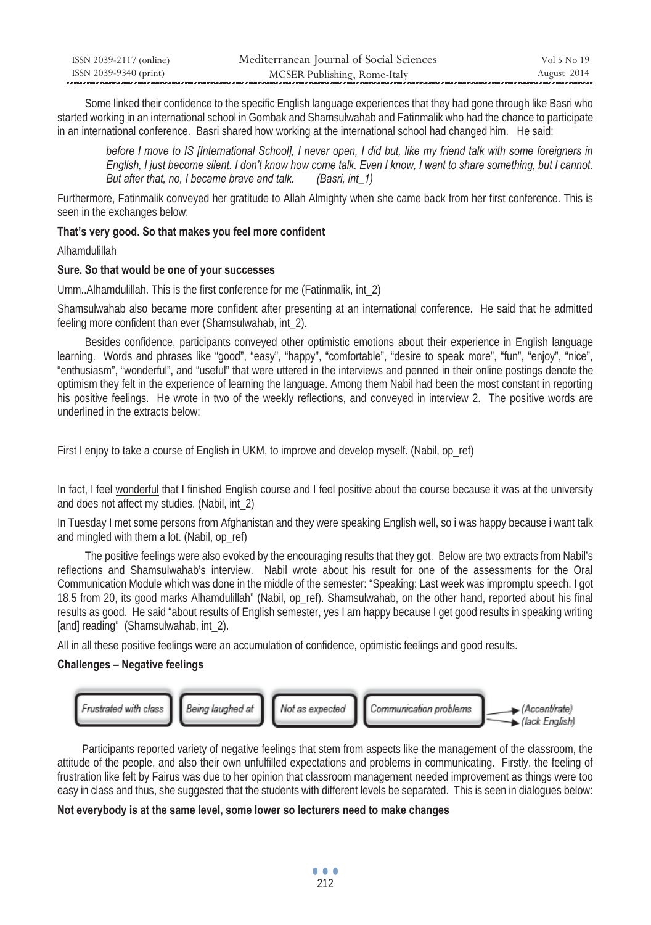| ISSN 2039-2117 (online) | Mediterranean Journal of Social Sciences | Vol 5 No 19 |
|-------------------------|------------------------------------------|-------------|
| ISSN 2039-9340 (print)  | MCSER Publishing, Rome-Italy             | August 2014 |

 Some linked their confidence to the specific English language experiences that they had gone through like Basri who started working in an international school in Gombak and Shamsulwahab and Fatinmalik who had the chance to participate in an international conference. Basri shared how working at the international school had changed him. He said:

*before I move to IS [International School], I never open, I did but, like my friend talk with some foreigners in English, I just become silent. I don't know how come talk. Even I know, I want to share something, but I cannot. But after that, no, I became brave and talk. (Basri, int\_1)* 

Furthermore, Fatinmalik conveyed her gratitude to Allah Almighty when she came back from her first conference. This is seen in the exchanges below:

### **That's very good. So that makes you feel more confident**

Alhamdulillah

## **Sure. So that would be one of your successes**

Umm..Alhamdulillah. This is the first conference for me (Fatinmalik, int\_2)

Shamsulwahab also became more confident after presenting at an international conference. He said that he admitted feeling more confident than ever (Shamsulwahab, int\_2).

 Besides confidence, participants conveyed other optimistic emotions about their experience in English language learning. Words and phrases like "good", "easy", "happy", "comfortable", "desire to speak more", "fun", "enjoy", "nice", "enthusiasm", "wonderful", and "useful" that were uttered in the interviews and penned in their online postings denote the optimism they felt in the experience of learning the language. Among them Nabil had been the most constant in reporting his positive feelings. He wrote in two of the weekly reflections, and conveyed in interview 2. The positive words are underlined in the extracts below:

First I enjoy to take a course of English in UKM, to improve and develop myself. (Nabil, op\_ref)

In fact, I feel wonderful that I finished English course and I feel positive about the course because it was at the university and does not affect my studies. (Nabil, int\_2)

In Tuesday I met some persons from Afghanistan and they were speaking English well, so i was happy because i want talk and mingled with them a lot. (Nabil, op\_ref)

 The positive feelings were also evoked by the encouraging results that they got. Below are two extracts from Nabil's reflections and Shamsulwahab's interview. Nabil wrote about his result for one of the assessments for the Oral Communication Module which was done in the middle of the semester: "Speaking: Last week was impromptu speech. I got 18.5 from 20, its good marks Alhamdulillah" (Nabil, op\_ref). Shamsulwahab, on the other hand, reported about his final results as good. He said "about results of English semester, yes I am happy because I get good results in speaking writing [and] reading" (Shamsulwahab, int\_2).

All in all these positive feelings were an accumulation of confidence, optimistic feelings and good results.

## **Challenges – Negative feelings**



 Participants reported variety of negative feelings that stem from aspects like the management of the classroom, the attitude of the people, and also their own unfulfilled expectations and problems in communicating. Firstly, the feeling of frustration like felt by Fairus was due to her opinion that classroom management needed improvement as things were too easy in class and thus, she suggested that the students with different levels be separated. This is seen in dialogues below:

## **Not everybody is at the same level, some lower so lecturers need to make changes**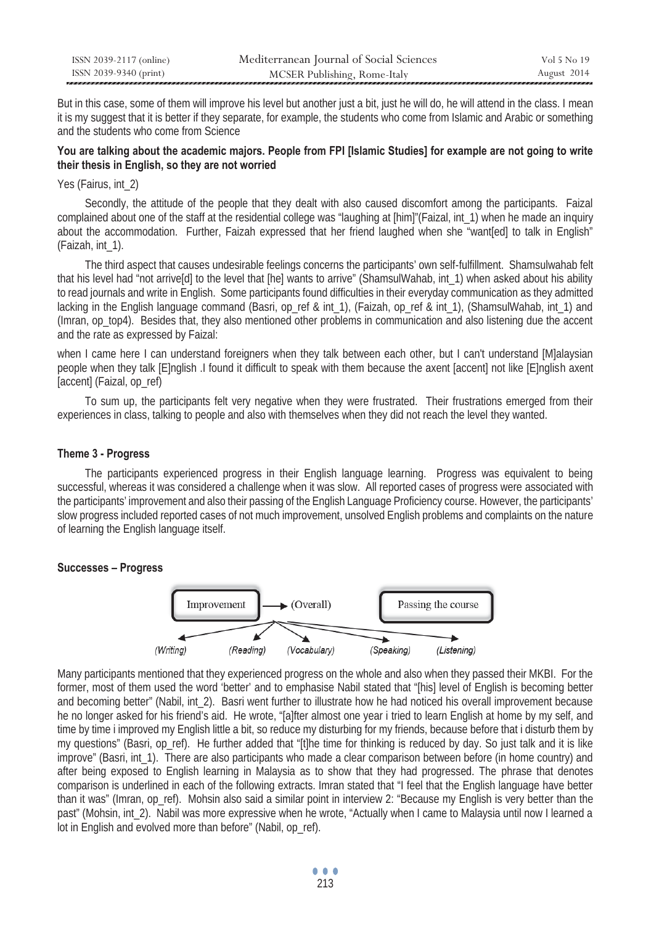| ISSN 2039-2117 (online) | Mediterranean Journal of Social Sciences | Vol 5 No 19 |
|-------------------------|------------------------------------------|-------------|
| ISSN 2039-9340 (print)  | MCSER Publishing, Rome-Italy             | August 2014 |

But in this case, some of them will improve his level but another just a bit, just he will do, he will attend in the class. I mean it is my suggest that it is better if they separate, for example, the students who come from Islamic and Arabic or something and the students who come from Science

## **You are talking about the academic majors. People from FPI [Islamic Studies] for example are not going to write their thesis in English, so they are not worried**

### Yes (Fairus, int\_2)

 Secondly, the attitude of the people that they dealt with also caused discomfort among the participants. Faizal complained about one of the staff at the residential college was "laughing at [him]"(Faizal, int\_1) when he made an inquiry about the accommodation. Further, Faizah expressed that her friend laughed when she "want[ed] to talk in English" (Faizah, int\_1).

 The third aspect that causes undesirable feelings concerns the participants' own self-fulfillment. Shamsulwahab felt that his level had "not arrive[d] to the level that [he] wants to arrive" (ShamsulWahab, int\_1) when asked about his ability to read journals and write in English. Some participants found difficulties in their everyday communication as they admitted lacking in the English language command (Basri, op\_ref & int\_1), (Faizah, op\_ref & int\_1), (ShamsulWahab, int\_1) and (Imran, op\_top4). Besides that, they also mentioned other problems in communication and also listening due the accent and the rate as expressed by Faizal:

when I came here I can understand foreigners when they talk between each other, but I can't understand [M]alaysian people when they talk [E]nglish .I found it difficult to speak with them because the axent [accent] not like [E]nglish axent [accent] (Faizal, op\_ref)

 To sum up, the participants felt very negative when they were frustrated. Their frustrations emerged from their experiences in class, talking to people and also with themselves when they did not reach the level they wanted.

### **Theme 3 - Progress**

 The participants experienced progress in their English language learning. Progress was equivalent to being successful, whereas it was considered a challenge when it was slow. All reported cases of progress were associated with the participants' improvement and also their passing of the English Language Proficiency course. However, the participants' slow progress included reported cases of not much improvement, unsolved English problems and complaints on the nature of learning the English language itself.

### **Successes – Progress**



Many participants mentioned that they experienced progress on the whole and also when they passed their MKBI. For the former, most of them used the word 'better' and to emphasise Nabil stated that "[his] level of English is becoming better and becoming better" (Nabil, int\_2). Basri went further to illustrate how he had noticed his overall improvement because he no longer asked for his friend's aid. He wrote, "[a]fter almost one year i tried to learn English at home by my self, and time by time i improved my English little a bit, so reduce my disturbing for my friends, because before that i disturb them by my questions" (Basri, op\_ref). He further added that "[t]he time for thinking is reduced by day. So just talk and it is like improve" (Basri, int\_1). There are also participants who made a clear comparison between before (in home country) and after being exposed to English learning in Malaysia as to show that they had progressed. The phrase that denotes comparison is underlined in each of the following extracts. Imran stated that "I feel that the English language have better than it was" (Imran, op\_ref). Mohsin also said a similar point in interview 2: "Because my English is very better than the past" (Mohsin, int\_2). Nabil was more expressive when he wrote, "Actually when I came to Malaysia until now I learned a lot in English and evolved more than before" (Nabil, op\_ref).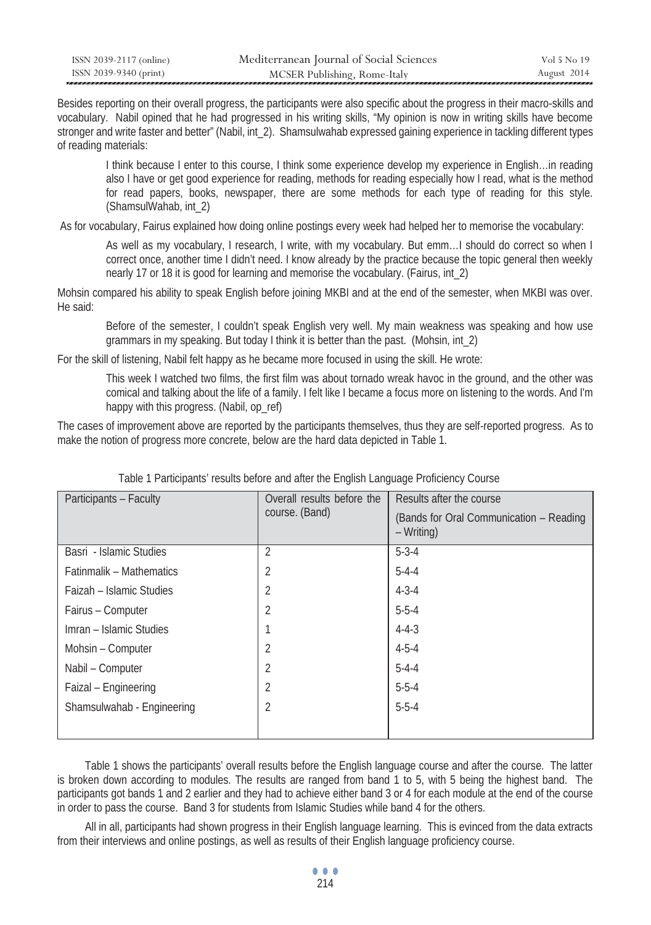| ISSN 2039-2117 (online) | Mediterranean Journal of Social Sciences | Vol 5 No 19 |
|-------------------------|------------------------------------------|-------------|
| ISSN 2039-9340 (print)  | MCSER Publishing, Rome-Italy             | August 2014 |

Besides reporting on their overall progress, the participants were also specific about the progress in their macro-skills and vocabulary. Nabil opined that he had progressed in his writing skills, "My opinion is now in writing skills have become stronger and write faster and better" (Nabil, int\_2). Shamsulwahab expressed gaining experience in tackling different types of reading materials:

I think because I enter to this course, I think some experience develop my experience in English…in reading also I have or get good experience for reading, methods for reading especially how I read, what is the method for read papers, books, newspaper, there are some methods for each type of reading for this style. (ShamsulWahab, int\_2)

As for vocabulary, Fairus explained how doing online postings every week had helped her to memorise the vocabulary:

As well as my vocabulary, I research, I write, with my vocabulary. But emm…I should do correct so when I correct once, another time I didn't need. I know already by the practice because the topic general then weekly nearly 17 or 18 it is good for learning and memorise the vocabulary. (Fairus, int\_2)

Mohsin compared his ability to speak English before joining MKBI and at the end of the semester, when MKBI was over. He said:

Before of the semester, I couldn't speak English very well. My main weakness was speaking and how use grammars in my speaking. But today I think it is better than the past. (Mohsin, int\_2)

For the skill of listening, Nabil felt happy as he became more focused in using the skill. He wrote:

This week I watched two films, the first film was about tornado wreak havoc in the ground, and the other was comical and talking about the life of a family. I felt like I became a focus more on listening to the words. And I'm happy with this progress. (Nabil, op\_ref)

The cases of improvement above are reported by the participants themselves, thus they are self-reported progress. As to make the notion of progress more concrete, below are the hard data depicted in Table 1.

| Participants - Faculty          | Overall results before the<br>course. (Band) | Results after the course<br>(Bands for Oral Communication - Reading<br>$-$ Writing) |
|---------------------------------|----------------------------------------------|-------------------------------------------------------------------------------------|
| Basri - Islamic Studies         | $\overline{2}$                               | $5 - 3 - 4$                                                                         |
| <b>Fatinmalik - Mathematics</b> | 2                                            | $5 - 4 - 4$                                                                         |
| Faizah – Islamic Studies        | $\overline{2}$                               | $4 - 3 - 4$                                                                         |
| Fairus - Computer               | 2                                            | $5 - 5 - 4$                                                                         |
| Imran – Islamic Studies         |                                              | $4 - 4 - 3$                                                                         |
| Mohsin – Computer               | 2                                            | $4 - 5 - 4$                                                                         |
| Nabil - Computer                | 2                                            | $5 - 4 - 4$                                                                         |
| Faizal - Engineering            | 2                                            | $5 - 5 - 4$                                                                         |
| Shamsulwahab - Engineering      | 2                                            | $5 - 5 - 4$                                                                         |
|                                 |                                              |                                                                                     |

Table 1 Participants' results before and after the English Language Proficiency Course

 Table 1 shows the participants' overall results before the English language course and after the course. The latter is broken down according to modules. The results are ranged from band 1 to 5, with 5 being the highest band. The participants got bands 1 and 2 earlier and they had to achieve either band 3 or 4 for each module at the end of the course in order to pass the course. Band 3 for students from Islamic Studies while band 4 for the others.

All in all, participants had shown progress in their English language learning. This is evinced from the data extracts from their interviews and online postings, as well as results of their English language proficiency course.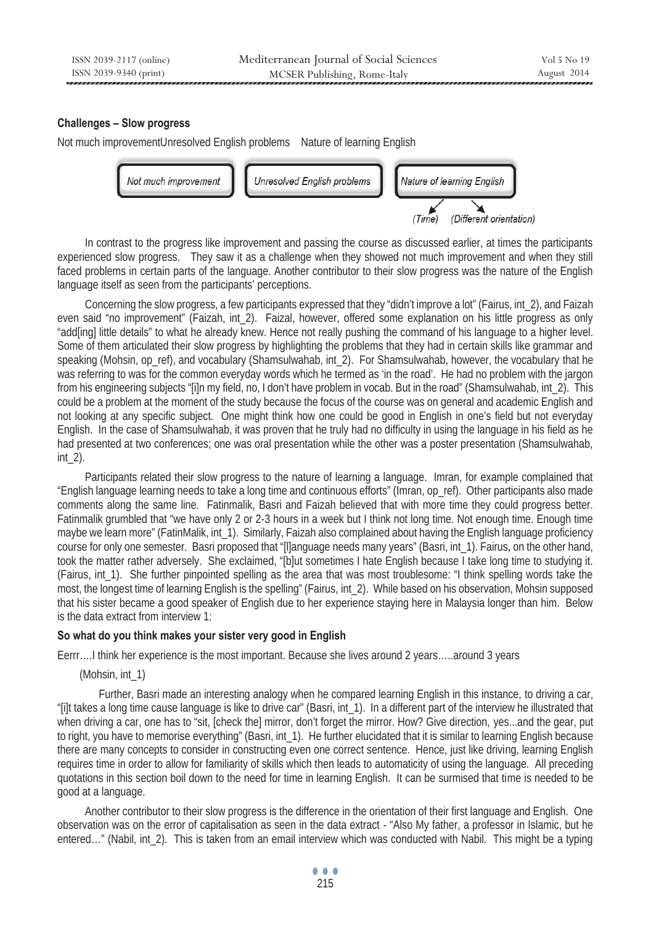# **Challenges – Slow progress**

Not much improvementUnresolved English problems Nature of learning English



 In contrast to the progress like improvement and passing the course as discussed earlier, at times the participants experienced slow progress. They saw it as a challenge when they showed not much improvement and when they still faced problems in certain parts of the language. Another contributor to their slow progress was the nature of the English language itself as seen from the participants' perceptions.

 Concerning the slow progress, a few participants expressed that they "didn't improve a lot" (Fairus, int\_2), and Faizah even said "no improvement" (Faizah, int\_2). Faizal, however, offered some explanation on his little progress as only "add[ing] little details" to what he already knew. Hence not really pushing the command of his language to a higher level. Some of them articulated their slow progress by highlighting the problems that they had in certain skills like grammar and speaking (Mohsin, op\_ref), and vocabulary (Shamsulwahab, int\_2). For Shamsulwahab, however, the vocabulary that he was referring to was for the common everyday words which he termed as 'in the road'. He had no problem with the jargon from his engineering subjects "[i]n my field, no, I don't have problem in vocab. But in the road" (Shamsulwahab, int\_2). This could be a problem at the moment of the study because the focus of the course was on general and academic English and not looking at any specific subject. One might think how one could be good in English in one's field but not everyday English. In the case of Shamsulwahab, it was proven that he truly had no difficulty in using the language in his field as he had presented at two conferences; one was oral presentation while the other was a poster presentation (Shamsulwahab,  $int_2$ ).

 Participants related their slow progress to the nature of learning a language. Imran, for example complained that "English language learning needs to take a long time and continuous efforts" (Imran, op\_ref). Other participants also made comments along the same line. Fatinmalik, Basri and Faizah believed that with more time they could progress better. Fatinmalik grumbled that "we have only 2 or 2-3 hours in a week but I think not long time. Not enough time. Enough time maybe we learn more" (FatinMalik, int 1). Similarly, Faizah also complained about having the English language proficiency course for only one semester. Basri proposed that "[l]anguage needs many years" (Basri, int\_1). Fairus, on the other hand, took the matter rather adversely. She exclaimed, "[b]ut sometimes I hate English because I take long time to studying it. (Fairus, int\_1). She further pinpointed spelling as the area that was most troublesome: "I think spelling words take the most, the longest time of learning English is the spelling" (Fairus, int\_2). While based on his observation, Mohsin supposed that his sister became a good speaker of English due to her experience staying here in Malaysia longer than him. Below is the data extract from interview 1:

## **So what do you think makes your sister very good in English**

Eerrr….I think her experience is the most important. Because she lives around 2 years…..around 3 years

(Mohsin, int\_1)

 Further, Basri made an interesting analogy when he compared learning English in this instance, to driving a car, "[i]t takes a long time cause language is like to drive car" (Basri, int\_1). In a different part of the interview he illustrated that when driving a car, one has to "sit, [check the] mirror, don't forget the mirror. How? Give direction, yes...and the gear, put to right, you have to memorise everything" (Basri, int\_1). He further elucidated that it is similar to learning English because there are many concepts to consider in constructing even one correct sentence. Hence, just like driving, learning English requires time in order to allow for familiarity of skills which then leads to automaticity of using the language. All preceding quotations in this section boil down to the need for time in learning English. It can be surmised that time is needed to be good at a language.

 Another contributor to their slow progress is the difference in the orientation of their first language and English. One observation was on the error of capitalisation as seen in the data extract - "Also My father, a professor in Islamic, but he entered..." (Nabil, int 2). This is taken from an email interview which was conducted with Nabil. This might be a typing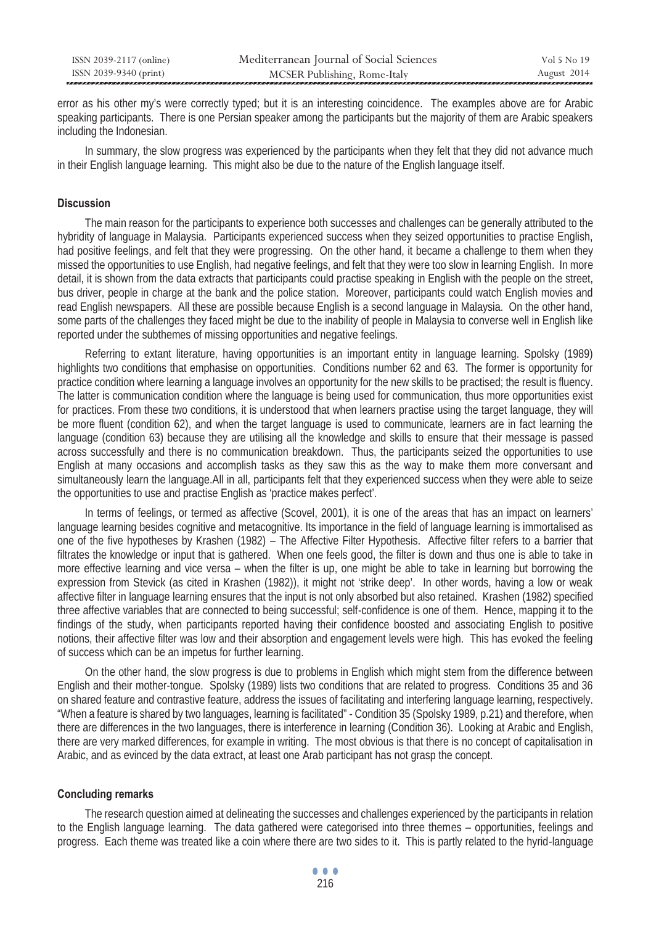| ISSN 2039-2117 (online) | Mediterranean Journal of Social Sciences | Vol 5 No 19 |
|-------------------------|------------------------------------------|-------------|
| ISSN 2039-9340 (print)  | MCSER Publishing, Rome-Italy             | August 2014 |

error as his other my's were correctly typed; but it is an interesting coincidence. The examples above are for Arabic speaking participants. There is one Persian speaker among the participants but the majority of them are Arabic speakers including the Indonesian.

 In summary, the slow progress was experienced by the participants when they felt that they did not advance much in their English language learning. This might also be due to the nature of the English language itself.

### **Discussion**

 The main reason for the participants to experience both successes and challenges can be generally attributed to the hybridity of language in Malaysia. Participants experienced success when they seized opportunities to practise English, had positive feelings, and felt that they were progressing. On the other hand, it became a challenge to them when they missed the opportunities to use English, had negative feelings, and felt that they were too slow in learning English. In more detail, it is shown from the data extracts that participants could practise speaking in English with the people on the street, bus driver, people in charge at the bank and the police station. Moreover, participants could watch English movies and read English newspapers. All these are possible because English is a second language in Malaysia. On the other hand, some parts of the challenges they faced might be due to the inability of people in Malaysia to converse well in English like reported under the subthemes of missing opportunities and negative feelings.

 Referring to extant literature, having opportunities is an important entity in language learning. Spolsky (1989) highlights two conditions that emphasise on opportunities. Conditions number 62 and 63. The former is opportunity for practice condition where learning a language involves an opportunity for the new skills to be practised; the result is fluency. The latter is communication condition where the language is being used for communication, thus more opportunities exist for practices. From these two conditions, it is understood that when learners practise using the target language, they will be more fluent (condition 62), and when the target language is used to communicate, learners are in fact learning the language (condition 63) because they are utilising all the knowledge and skills to ensure that their message is passed across successfully and there is no communication breakdown. Thus, the participants seized the opportunities to use English at many occasions and accomplish tasks as they saw this as the way to make them more conversant and simultaneously learn the language.All in all, participants felt that they experienced success when they were able to seize the opportunities to use and practise English as 'practice makes perfect'.

 In terms of feelings, or termed as affective (Scovel, 2001), it is one of the areas that has an impact on learners' language learning besides cognitive and metacognitive. Its importance in the field of language learning is immortalised as one of the five hypotheses by Krashen (1982) – The Affective Filter Hypothesis. Affective filter refers to a barrier that filtrates the knowledge or input that is gathered. When one feels good, the filter is down and thus one is able to take in more effective learning and vice versa – when the filter is up, one might be able to take in learning but borrowing the expression from Stevick (as cited in Krashen (1982)), it might not 'strike deep'. In other words, having a low or weak affective filter in language learning ensures that the input is not only absorbed but also retained. Krashen (1982) specified three affective variables that are connected to being successful; self-confidence is one of them. Hence, mapping it to the findings of the study, when participants reported having their confidence boosted and associating English to positive notions, their affective filter was low and their absorption and engagement levels were high. This has evoked the feeling of success which can be an impetus for further learning.

 On the other hand, the slow progress is due to problems in English which might stem from the difference between English and their mother-tongue. Spolsky (1989) lists two conditions that are related to progress. Conditions 35 and 36 on shared feature and contrastive feature, address the issues of facilitating and interfering language learning, respectively. "When a feature is shared by two languages, learning is facilitated" - Condition 35 (Spolsky 1989, p.21) and therefore, when there are differences in the two languages, there is interference in learning (Condition 36). Looking at Arabic and English, there are very marked differences, for example in writing. The most obvious is that there is no concept of capitalisation in Arabic, and as evinced by the data extract, at least one Arab participant has not grasp the concept.

### **Concluding remarks**

 The research question aimed at delineating the successes and challenges experienced by the participants in relation to the English language learning. The data gathered were categorised into three themes – opportunities, feelings and progress. Each theme was treated like a coin where there are two sides to it. This is partly related to the hyrid-language